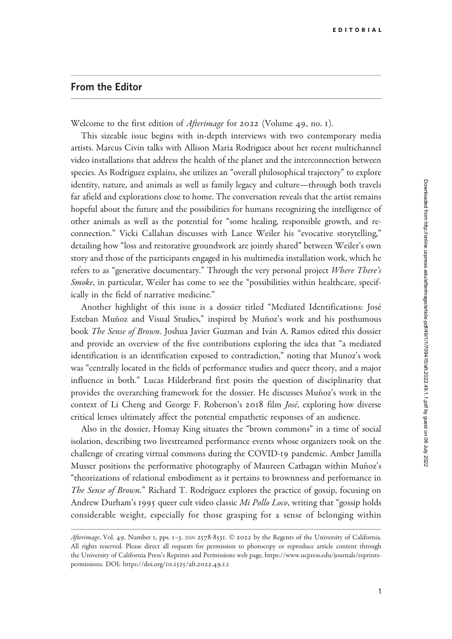## From the Editor

Welcome to the first edition of *Afterimage* for 2022 (Volume 49, no. 1).

This sizeable issue begins with in-depth interviews with two contemporary media artists. Marcus Civin talks with Allison Maria Rodriguez about her recent multichannel video installations that address the health of the planet and the interconnection between species. As Rodriguez explains, she utilizes an "overall philosophical trajectory" to explore identity, nature, and animals as well as family legacy and culture—through both travels far afield and explorations close to home. The conversation reveals that the artist remains hopeful about the future and the possibilities for humans recognizing the intelligence of other animals as well as the potential for "some healing, responsible growth, and reconnection." Vicki Callahan discusses with Lance Weiler his "evocative storytelling," detailing how "loss and restorative groundwork are jointly shared" between Weiler's own story and those of the participants engaged in his multimedia installation work, which he refers to as "generative documentary." Through the very personal project Where There's Smoke, in particular, Weiler has come to see the "possibilities within healthcare, specifically in the field of narrative medicine."

Another highlight of this issue is a dossier titled "Mediated Identifications: José Esteban Muñoz and Visual Studies," inspired by Muñoz's work and his posthumous book *The Sense of Brown*. Joshua Javier Guzman and Iván A. Ramos edited this dossier and provide an overview of the five contributions exploring the idea that "a mediated identification is an identification exposed to contradiction," noting that Munoz's work was "centrally located in the fields of performance studies and queer theory, and a major influence in both." Lucas Hilderbrand first posits the question of disciplinarity that provides the overarching framework for the dossier. He discusses Muñoz's work in the context of Li Cheng and George F. Roberson's 2018 film *José*, exploring how diverse critical lenses ultimately affect the potential empathetic responses of an audience.

Also in the dossier, Homay King situates the "brown commons" in a time of social isolation, describing two livestreamed performance events whose organizers took on the challenge of creating virtual commons during the COVID-19 pandemic. Amber Jamilla Musser positions the performative photography of Maureen Catbagan within Muñoz's "theorizations of relational embodiment as it pertains to brownness and performance in The Sense of Brown." Richard T. Rodríguez explores the practice of gossip, focusing on Andrew Durham's 1995 queer cult video classic Mi Pollo Loco, writing that "gossip holds considerable weight, especially for those grasping for a sense of belonging within

Afterimage, Vol. 49, Number 1, pps. 1-3. ISSN 2578-8531. © 2022 by the Regents of the University of California. All rights reserved. Please direct all requests for permission to photocopy or reproduce article content through the University of California Press's Reprints and Permissions web page, [https://www.ucpress.edu/journals/reprints](https://www.ucpress.edu/journals/reprints-permissions)[permissions.](https://www.ucpress.edu/journals/reprints-permissions) [DOI: https://doi.org/](https://doi.org/10.1525/aft.2022.49.1.1)10.1525/aft.2022.49.1.1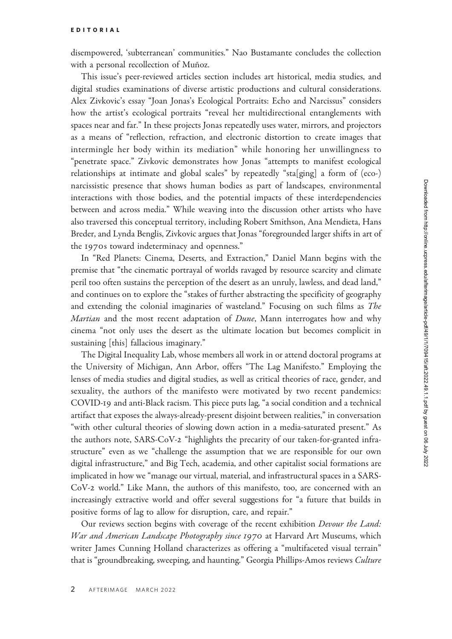disempowered, 'subterranean' communities." Nao Bustamante concludes the collection with a personal recollection of Muñoz.

This issue's peer-reviewed articles section includes art historical, media studies, and digital studies examinations of diverse artistic productions and cultural considerations. Alex Zivkovic's essay "Joan Jonas's Ecological Portraits: Echo and Narcissus" considers how the artist's ecological portraits "reveal her multidirectional entanglements with spaces near and far." In these projects Jonas repeatedly uses water, mirrors, and projectors as a means of "reflection, refraction, and electronic distortion to create images that intermingle her body within its mediation" while honoring her unwillingness to "penetrate space." Zivkovic demonstrates how Jonas "attempts to manifest ecological relationships at intimate and global scales" by repeatedly "sta[ging] a form of (eco-) narcissistic presence that shows human bodies as part of landscapes, environmental interactions with those bodies, and the potential impacts of these interdependencies between and across media." While weaving into the discussion other artists who have also traversed this conceptual territory, including Robert Smithson, Ana Mendieta, Hans Breder, and Lynda Benglis, Zivkovic argues that Jonas "foregrounded larger shifts in art of the 1970s toward indeterminacy and openness."

In "Red Planets: Cinema, Deserts, and Extraction," Daniel Mann begins with the premise that "the cinematic portrayal of worlds ravaged by resource scarcity and climate peril too often sustains the perception of the desert as an unruly, lawless, and dead land," and continues on to explore the "stakes of further abstracting the specificity of geography and extending the colonial imaginaries of wasteland." Focusing on such films as The Martian and the most recent adaptation of Dune, Mann interrogates how and why cinema "not only uses the desert as the ultimate location but becomes complicit in sustaining [this] fallacious imaginary."

The Digital Inequality Lab, whose members all work in or attend doctoral programs at the University of Michigan, Ann Arbor, offers "The Lag Manifesto." Employing the lenses of media studies and digital studies, as well as critical theories of race, gender, and sexuality, the authors of the manifesto were motivated by two recent pandemics: COVID-19 and anti-Black racism. This piece puts lag, "a social condition and a technical artifact that exposes the always-already-present disjoint between realities," in conversation "with other cultural theories of slowing down action in a media-saturated present." As the authors note, SARS-CoV-2 "highlights the precarity of our taken-for-granted infrastructure" even as we "challenge the assumption that we are responsible for our own digital infrastructure," and Big Tech, academia, and other capitalist social formations are implicated in how we "manage our virtual, material, and infrastructural spaces in a SARS-CoV-2 world." Like Mann, the authors of this manifesto, too, are concerned with an increasingly extractive world and offer several suggestions for "a future that builds in positive forms of lag to allow for disruption, care, and repair."

Our reviews section begins with coverage of the recent exhibition Devour the Land: War and American Landscape Photography since 1970 at Harvard Art Museums, which writer James Cunning Holland characterizes as offering a "multifaceted visual terrain" that is "groundbreaking, sweeping, and haunting." Georgia Phillips-Amos reviews Culture